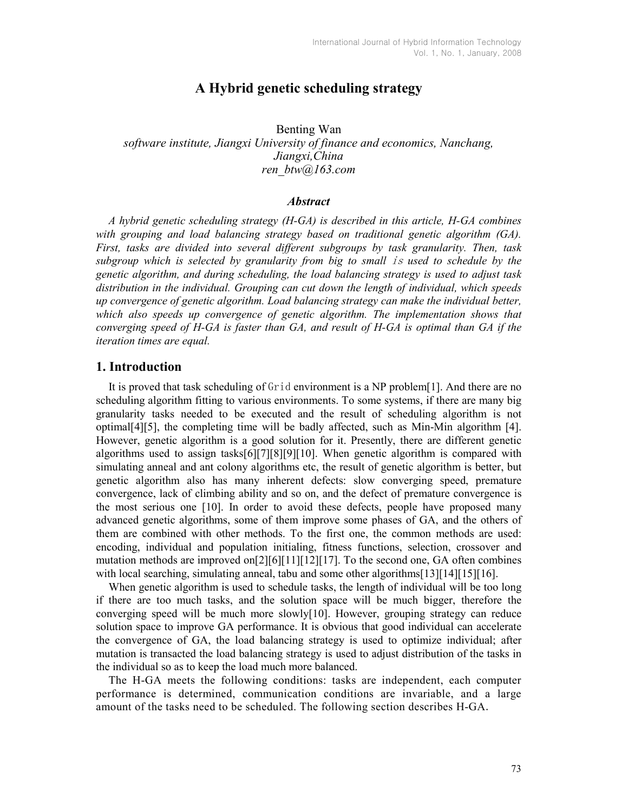## A Hybrid genetic scheduling strategy

Benting Wan software institute, Jiangxi University of finance and economics, Nanchang, Jiangxi,China ren\_btw@163.com

#### Abstract

A hybrid genetic scheduling strategy (H-GA) is described in this article, H-GA combines with grouping and load balancing strategy based on traditional genetic algorithm (GA). First, tasks are divided into several different subgroups by task granularity. Then, task subgroup which is selected by granularity from big to small is used to schedule by the genetic algorithm, and during scheduling, the load balancing strategy is used to adjust task distribution in the individual. Grouping can cut down the length of individual, which speeds up convergence of genetic algorithm. Load balancing strategy can make the individual better, which also speeds up convergence of genetic algorithm. The implementation shows that converging speed of H-GA is faster than GA, and result of H-GA is optimal than GA if the iteration times are equal.

## 1. Introduction

It is proved that task scheduling of Grid environment is a NP problem[1]. And there are no scheduling algorithm fitting to various environments. To some systems, if there are many big granularity tasks needed to be executed and the result of scheduling algorithm is not optimal[4][5], the completing time will be badly affected, such as Min-Min algorithm [4]. However, genetic algorithm is a good solution for it. Presently, there are different genetic algorithms used to assign tasks[6][7][8][9][10]. When genetic algorithm is compared with simulating anneal and ant colony algorithms etc, the result of genetic algorithm is better, but genetic algorithm also has many inherent defects: slow converging speed, premature convergence, lack of climbing ability and so on, and the defect of premature convergence is the most serious one [10]. In order to avoid these defects, people have proposed many advanced genetic algorithms, some of them improve some phases of GA, and the others of them are combined with other methods. To the first one, the common methods are used: encoding, individual and population initialing, fitness functions, selection, crossover and mutation methods are improved on[2][6][11][12][17]. To the second one, GA often combines with local searching, simulating anneal, tabu and some other algorithms  $[13][14][15][16]$ .

When genetic algorithm is used to schedule tasks, the length of individual will be too long if there are too much tasks, and the solution space will be much bigger, therefore the converging speed will be much more slowly[10]. However, grouping strategy can reduce solution space to improve GA performance. It is obvious that good individual can accelerate the convergence of GA, the load balancing strategy is used to optimize individual; after mutation is transacted the load balancing strategy is used to adjust distribution of the tasks in the individual so as to keep the load much more balanced.

The H-GA meets the following conditions: tasks are independent, each computer performance is determined, communication conditions are invariable, and a large amount of the tasks need to be scheduled. The following section describes H-GA.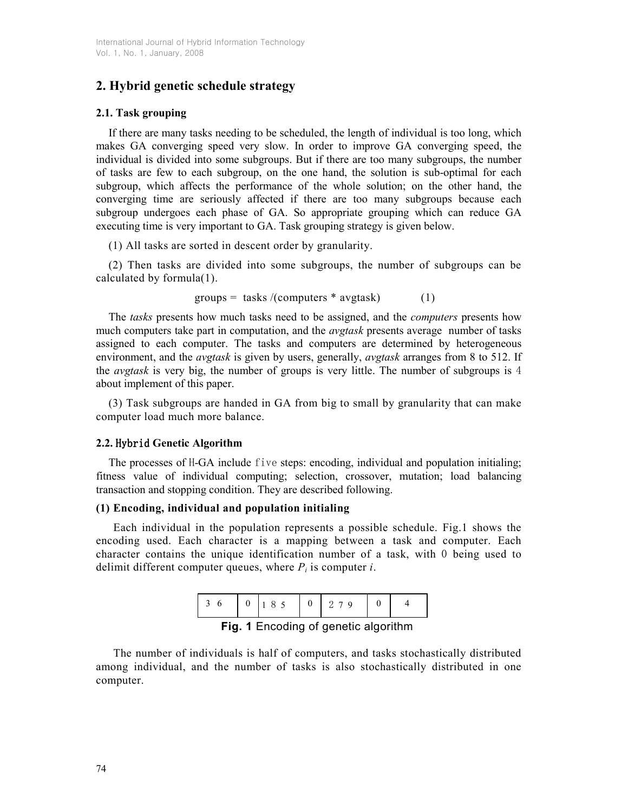# 2. Hybrid genetic schedule strategy

## 2.1. Task grouping

If there are many tasks needing to be scheduled, the length of individual is too long, which makes GA converging speed very slow. In order to improve GA converging speed, the individual is divided into some subgroups. But if there are too many subgroups, the number of tasks are few to each subgroup, on the one hand, the solution is sub-optimal for each subgroup, which affects the performance of the whole solution; on the other hand, the converging time are seriously affected if there are too many subgroups because each subgroup undergoes each phase of GA. So appropriate grouping which can reduce GA executing time is very important to GA. Task grouping strategy is given below.

(1) All tasks are sorted in descent order by granularity.

(2) Then tasks are divided into some subgroups, the number of subgroups can be calculated by formula(1).

$$
groups = tasks / (computers * avgtask)
$$
 (1)

The tasks presents how much tasks need to be assigned, and the *computers* presents how much computers take part in computation, and the *avgtask* presents average number of tasks assigned to each computer. The tasks and computers are determined by heterogeneous environment, and the *avgtask* is given by users, generally, *avgtask* arranges from 8 to 512. If the *avgtask* is very big, the number of groups is very little. The number of subgroups is 4 about implement of this paper.

(3) Task subgroups are handed in GA from big to small by granularity that can make computer load much more balance.

## 2.2. Hybrid Genetic Algorithm

The processes of H-GA include five steps: encoding, individual and population initialing; fitness value of individual computing; selection, crossover, mutation; load balancing transaction and stopping condition. They are described following.

## (1) Encoding, individual and population initialing

Each individual in the population represents a possible schedule. Fig.1 shows the encoding used. Each character is a mapping between a task and computer. Each character contains the unique identification number of a task, with 0 being used to delimit different computer queues, where  $P_i$  is computer i.



Fig. 1 Encoding of genetic algorithm

The number of individuals is half of computers, and tasks stochastically distributed among individual, and the number of tasks is also stochastically distributed in one computer.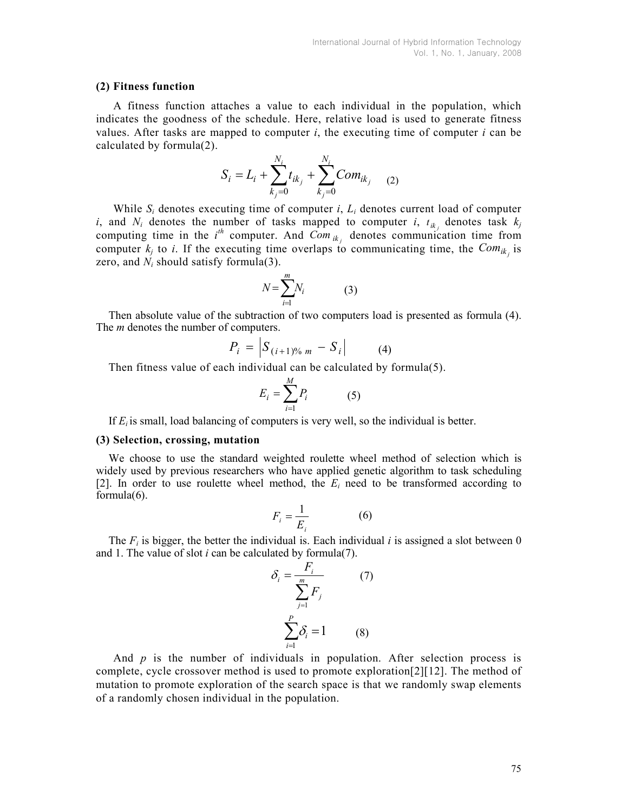#### (2) Fitness function

A fitness function attaches a value to each individual in the population, which indicates the goodness of the schedule. Here, relative load is used to generate fitness values. After tasks are mapped to computer  $i$ , the executing time of computer  $i$  can be calculated by formula(2).

$$
S_i = L_i + \sum_{k_j=0}^{N_i} t_{ik_j} + \sum_{k_j=0}^{N_i} Com_{ik_j} \quad (2)
$$

While  $S_i$  denotes executing time of computer i,  $L_i$  denotes current load of computer i, and  $N_i$  denotes the number of tasks mapped to computer i,  $t_{ik_j}$  denotes task  $k_j$ computing time in the  $i^{th}$  computer. And  $Com_{ik_j}$  denotes communication time from computer  $k_j$  to i. If the executing time overlaps to communicating time, the  $Com_{ik_j}$  is zero, and  $N_i$  should satisfy formula(3).

$$
N = \sum_{i=1}^{m} N_i \tag{3}
$$

Then absolute value of the subtraction of two computers load is presented as formula (4). The *m* denotes the number of computers.

$$
P_i = \left| S_{(i+1)\% \ m} - S_i \right| \tag{4}
$$

Then fitness value of each individual can be calculated by formula(5).

$$
E_i = \sum_{i=1}^{M} P_i \tag{5}
$$

If  $E_i$  is small, load balancing of computers is very well, so the individual is better.

#### (3) Selection, crossing, mutation

We choose to use the standard weighted roulette wheel method of selection which is widely used by previous researchers who have applied genetic algorithm to task scheduling [2]. In order to use roulette wheel method, the  $E_i$  need to be transformed according to formula(6).

$$
F_i = \frac{1}{E_i} \tag{6}
$$

The  $F_i$  is bigger, the better the individual is. Each individual i is assigned a slot between 0 and 1. The value of slot  $i$  can be calculated by formula(7).

$$
\delta_i = \frac{F_i}{\sum_{j=1}^m F_j}
$$
 (7)  

$$
\sum_{i=1}^P \delta_i = 1
$$
 (8)

And  $p$  is the number of individuals in population. After selection process is complete, cycle crossover method is used to promote exploration[2][12]. The method of mutation to promote exploration of the search space is that we randomly swap elements of a randomly chosen individual in the population.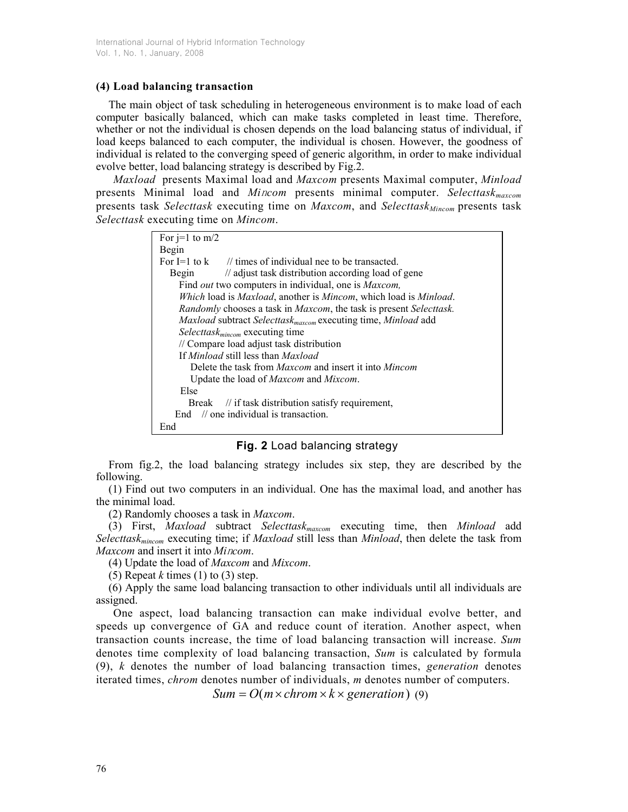## (4) Load balancing transaction

The main object of task scheduling in heterogeneous environment is to make load of each computer basically balanced, which can make tasks completed in least time. Therefore, whether or not the individual is chosen depends on the load balancing status of individual, if load keeps balanced to each computer, the individual is chosen. However, the goodness of individual is related to the converging speed of generic algorithm, in order to make individual evolve better, load balancing strategy is described by Fig.2.

Maxload presents Maximal load and Maxcom presents Maximal computer, Minload presents Minimal load and *Mincom* presents minimal computer. Selecttas $k_{maxcom}$ presents task Selecttask executing time on Maxcom, and Selecttask<sub>Mincom</sub> presents task Selecttask executing time on *Mincom*.

| For $j=1$ to m/2                                                                                |                                                             |
|-------------------------------------------------------------------------------------------------|-------------------------------------------------------------|
| Begin                                                                                           |                                                             |
|                                                                                                 | For I=1 to $k$ // times of individual nee to be transacted. |
| Begin                                                                                           | // adjust task distribution according load of gene          |
| Find <i>out</i> two computers in individual, one is <i>Maxcom</i> ,                             |                                                             |
| <i>Which</i> load is <i>Maxload</i> , another is <i>Mincom</i> , which load is <i>Minload</i> . |                                                             |
| <i>Randomly</i> chooses a task in <i>Maxcom</i> , the task is present <i>Selecttask</i> .       |                                                             |
| <i>Maxload</i> subtract Selecttask <sub>maxcom</sub> executing time, Minload add                |                                                             |
| <i>Selecttask<sub>mincom</sub></i> executing time                                               |                                                             |
| // Compare load adjust task distribution                                                        |                                                             |
| If Minload still less than Maxload                                                              |                                                             |
| Delete the task from <i>Maxcom</i> and insert it into <i>Mincom</i>                             |                                                             |
| Update the load of <i>Maxcom</i> and <i>Mixcom</i> .                                            |                                                             |
| Else                                                                                            |                                                             |
| Break                                                                                           | // if task distribution satisfy requirement,                |
| End $\theta$ one individual is transaction.                                                     |                                                             |
| End                                                                                             |                                                             |

Fig. 2 Load balancing strategy

From fig.2, the load balancing strategy includes six step, they are described by the following.

(1) Find out two computers in an individual. One has the maximal load, and another has the minimal load.

(2) Randomly chooses a task in Maxcom.

(3) First, Maxload subtract Selecttas $k_{\text{maxcom}}$  executing time, then Minload add Selecttas $k_{micro}$  executing time; if Maxload still less than Minload, then delete the task from Maxcom and insert it into Mincom.

(4) Update the load of Maxcom and Mixcom.

(5) Repeat  $k$  times (1) to (3) step.

(6) Apply the same load balancing transaction to other individuals until all individuals are assigned.

One aspect, load balancing transaction can make individual evolve better, and speeds up convergence of GA and reduce count of iteration. Another aspect, when transaction counts increase, the time of load balancing transaction will increase. Sum denotes time complexity of load balancing transaction, Sum is calculated by formula  $(9)$ , k denotes the number of load balancing transaction times, *generation* denotes iterated times, chrom denotes number of individuals, m denotes number of computers.

 $Sum = O(m \times chrom \times k \times generation)$  (9)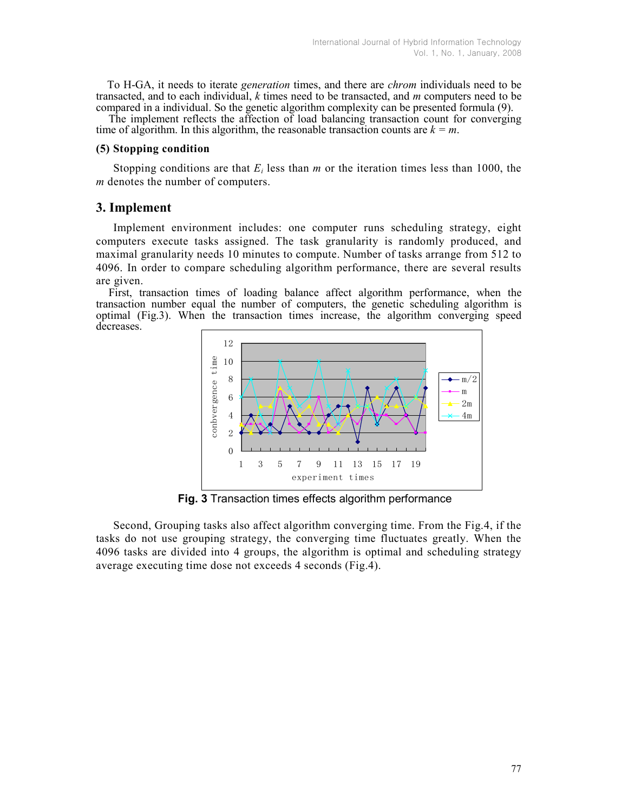To H-GA, it needs to iterate *generation* times, and there are *chrom* individuals need to be transacted, and to each individual,  $k$  times need to be transacted, and  $m$  computers need to be compared in a individual. So the genetic algorithm complexity can be presented formula (9).

The implement reflects the affection of load balancing transaction count for converging time of algorithm. In this algorithm, the reasonable transaction counts are  $k = m$ .

#### (5) Stopping condition

Stopping conditions are that  $E_i$  less than m or the iteration times less than 1000, the m denotes the number of computers.

#### 3. Implement

Implement environment includes: one computer runs scheduling strategy, eight computers execute tasks assigned. The task granularity is randomly produced, and maximal granularity needs 10 minutes to compute. Number of tasks arrange from 512 to 4096. In order to compare scheduling algorithm performance, there are several results are given.

First, transaction times of loading balance affect algorithm performance, when the transaction number equal the number of computers, the genetic scheduling algorithm is optimal (Fig.3). When the transaction times increase, the algorithm converging speed decreases.



Fig. 3 Transaction times effects algorithm performance

Second, Grouping tasks also affect algorithm converging time. From the Fig.4, if the tasks do not use grouping strategy, the converging time fluctuates greatly. When the 4096 tasks are divided into 4 groups, the algorithm is optimal and scheduling strategy average executing time dose not exceeds 4 seconds (Fig.4).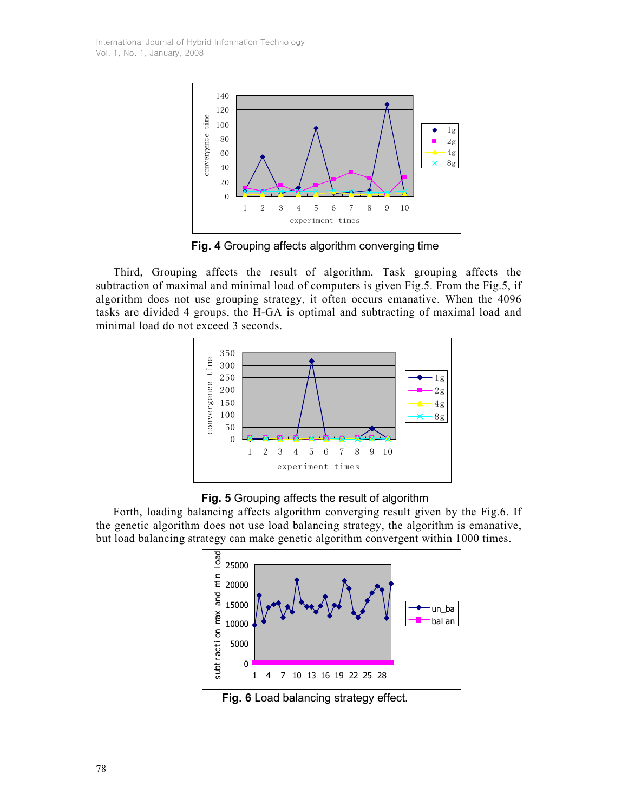International Journal of Hybrid Information Technology Vol. 1, No. 1, January, 2008



Fig. 4 Grouping affects algorithm converging time

Third, Grouping affects the result of algorithm. Task grouping affects the subtraction of maximal and minimal load of computers is given Fig.5. From the Fig.5, if algorithm does not use grouping strategy, it often occurs emanative. When the 4096 tasks are divided 4 groups, the H-GA is optimal and subtracting of maximal load and minimal load do not exceed 3 seconds.



## Fig. 5 Grouping affects the result of algorithm

Forth, loading balancing affects algorithm converging result given by the Fig.6. If the genetic algorithm does not use load balancing strategy, the algorithm is emanative, but load balancing strategy can make genetic algorithm convergent within 1000 times.



Fig. 6 Load balancing strategy effect.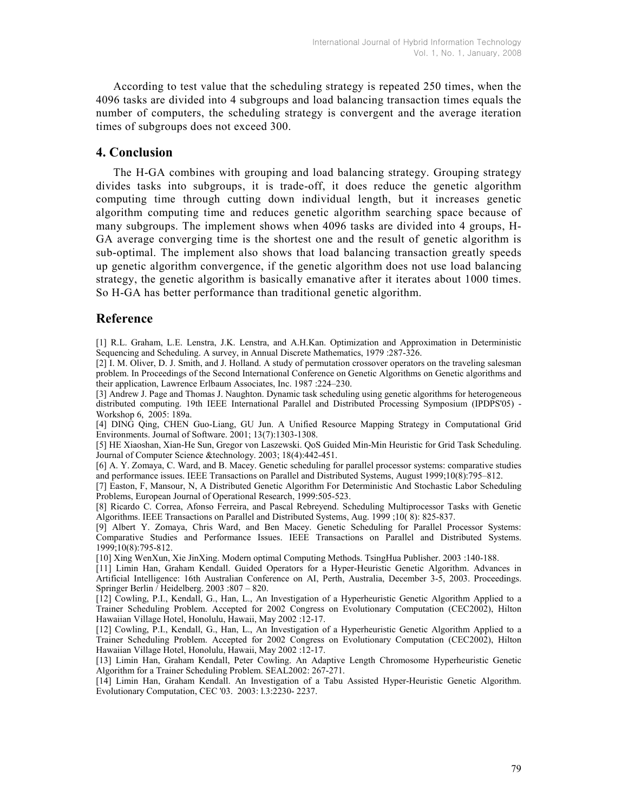According to test value that the scheduling strategy is repeated 250 times, when the 4096 tasks are divided into 4 subgroups and load balancing transaction times equals the number of computers, the scheduling strategy is convergent and the average iteration times of subgroups does not exceed 300.

## 4. Conclusion

The H-GA combines with grouping and load balancing strategy. Grouping strategy divides tasks into subgroups, it is trade-off, it does reduce the genetic algorithm computing time through cutting down individual length, but it increases genetic algorithm computing time and reduces genetic algorithm searching space because of many subgroups. The implement shows when 4096 tasks are divided into 4 groups, H-GA average converging time is the shortest one and the result of genetic algorithm is sub-optimal. The implement also shows that load balancing transaction greatly speeds up genetic algorithm convergence, if the genetic algorithm does not use load balancing strategy, the genetic algorithm is basically emanative after it iterates about 1000 times. So H-GA has better performance than traditional genetic algorithm.

## Reference

[1] R.L. Graham, L.E. Lenstra, J.K. Lenstra, and A.H.Kan. Optimization and Approximation in Deterministic Sequencing and Scheduling. A survey, in Annual Discrete Mathematics, 1979 :287-326.

[2] I. M. Oliver, D. J. Smith, and J. Holland. A study of permutation crossover operators on the traveling salesman problem. In Proceedings of the Second International Conference on Genetic Algorithms on Genetic algorithms and their application, Lawrence Erlbaum Associates, Inc. 1987 :224–230.

[3] Andrew J. Page and Thomas J. Naughton. Dynamic task scheduling using genetic algorithms for heterogeneous distributed computing. 19th IEEE International Parallel and Distributed Processing Symposium (IPDPS'05) - Workshop 6, 2005: 189a.

[4] DING Qing, CHEN Guo-Liang, GU Jun. A Unified Resource Mapping Strategy in Computational Grid Environments. Journal of Software. 2001; 13(7):1303-1308.

[5] HE Xiaoshan, Xian-He Sun, Gregor von Laszewski. QoS Guided Min-Min Heuristic for Grid Task Scheduling. Journal of Computer Science &technology. 2003; 18(4):442-451.

[6] A. Y. Zomaya, C. Ward, and B. Macey. Genetic scheduling for parallel processor systems: comparative studies and performance issues. IEEE Transactions on Parallel and Distributed Systems, August 1999;10(8):795–812.

[7] Easton, F, Mansour, N, A Distributed Genetic Algorithm For Deterministic And Stochastic Labor Scheduling Problems, European Journal of Operational Research, 1999:505-523.

[8] Ricardo C. Correa, Afonso Ferreira, and Pascal Rebreyend. Scheduling Multiprocessor Tasks with Genetic Algorithms. IEEE Transactions on Parallel and Distributed Systems, Aug. 1999 ;10( 8): 825-837.

[9] Albert Y. Zomaya, Chris Ward, and Ben Macey. Genetic Scheduling for Parallel Processor Systems: Comparative Studies and Performance Issues. IEEE Transactions on Parallel and Distributed Systems. 1999;10(8):795-812.

[10] Xing WenXun, Xie JinXing. Modern optimal Computing Methods. TsingHua Publisher. 2003 :140-188.

[11] Limin Han, Graham Kendall. Guided Operators for a Hyper-Heuristic Genetic Algorithm. Advances in Artificial Intelligence: 16th Australian Conference on AI, Perth, Australia, December 3-5, 2003. Proceedings. Springer Berlin / Heidelberg. 2003 :807 – 820.

[12] Cowling, P.I., Kendall, G., Han, L., An Investigation of a Hyperheuristic Genetic Algorithm Applied to a Trainer Scheduling Problem. Accepted for 2002 Congress on Evolutionary Computation (CEC2002), Hilton Hawaiian Village Hotel, Honolulu, Hawaii, May 2002 :12-17.

[12] Cowling, P.I., Kendall, G., Han, L., An Investigation of a Hyperheuristic Genetic Algorithm Applied to a Trainer Scheduling Problem. Accepted for 2002 Congress on Evolutionary Computation (CEC2002), Hilton Hawaiian Village Hotel, Honolulu, Hawaii, May 2002 :12-17.

[13] Limin Han, Graham Kendall, Peter Cowling. An Adaptive Length Chromosome Hyperheuristic Genetic Algorithm for a Trainer Scheduling Problem. SEAL2002: 267-271.

[14] Limin Han, Graham Kendall. An Investigation of a Tabu Assisted Hyper-Heuristic Genetic Algorithm. Evolutionary Computation, CEC '03. 2003: l.3:2230- 2237.